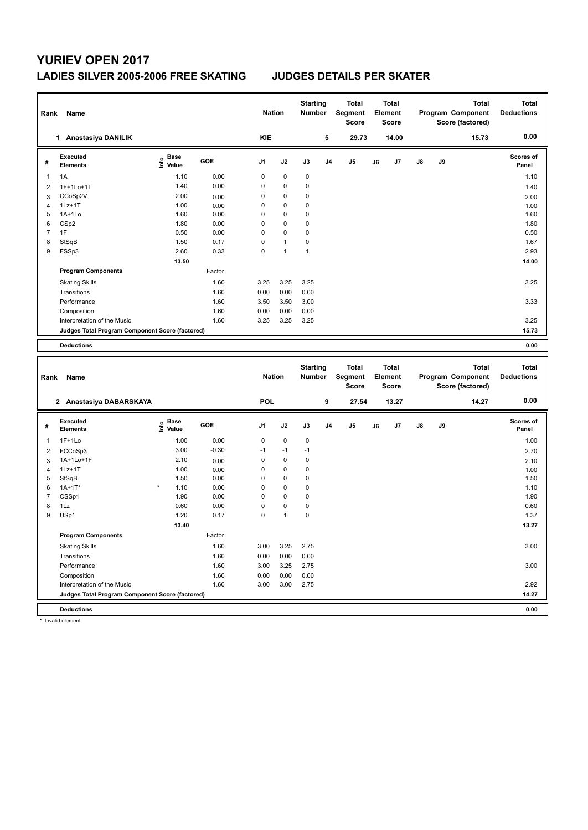### **LADIES SILVER 2005-2006 FREE SKATING JUDGES DETAILS PER SKATER**

| Rank           | Name                                            |                                           |              | <b>Nation</b> |              | <b>Starting</b><br><b>Number</b> |                | <b>Total</b><br>Segment<br><b>Score</b> |    | <b>Total</b><br>Element<br><b>Score</b> |    |    | <b>Total</b><br>Program Component<br>Score (factored) | <b>Total</b><br><b>Deductions</b> |
|----------------|-------------------------------------------------|-------------------------------------------|--------------|---------------|--------------|----------------------------------|----------------|-----------------------------------------|----|-----------------------------------------|----|----|-------------------------------------------------------|-----------------------------------|
|                | 1 Anastasiya DANILIK                            |                                           |              | <b>KIE</b>    |              |                                  | 5              | 29.73                                   |    | 14.00                                   |    |    | 15.73                                                 | 0.00                              |
| #              | Executed<br><b>Elements</b>                     | $\frac{e}{E}$ Base<br>$\frac{E}{E}$ Value | GOE          | J1            | J2           | J3                               | J <sub>4</sub> | J <sub>5</sub>                          | J6 | J7                                      | J8 | J9 |                                                       | Scores of<br>Panel                |
| $\mathbf{1}$   | 1A                                              | 1.10                                      | 0.00         | $\mathbf 0$   | $\mathbf 0$  | $\mathbf 0$                      |                |                                         |    |                                         |    |    |                                                       | 1.10                              |
| $\overline{2}$ | 1F+1Lo+1T                                       | 1.40                                      | 0.00         | $\mathbf 0$   | $\mathbf 0$  | $\mathbf 0$                      |                |                                         |    |                                         |    |    |                                                       | 1.40                              |
| 3              | CCoSp2V                                         | 2.00                                      | 0.00         | $\mathbf 0$   | $\mathbf 0$  | $\mathbf 0$                      |                |                                         |    |                                         |    |    |                                                       | 2.00                              |
| $\overline{4}$ | $1Lz+1T$                                        | 1.00                                      | 0.00         | $\mathbf 0$   | $\mathbf 0$  | $\mathbf 0$                      |                |                                         |    |                                         |    |    |                                                       | 1.00                              |
| 5              | 1A+1Lo                                          | 1.60                                      | 0.00         | $\mathbf 0$   | 0            | $\mathbf 0$                      |                |                                         |    |                                         |    |    |                                                       | 1.60                              |
| 6              | CSp2                                            | 1.80                                      | 0.00         | $\mathbf 0$   | $\Omega$     | $\mathbf 0$                      |                |                                         |    |                                         |    |    |                                                       | 1.80                              |
| $\overline{7}$ | 1F                                              | 0.50                                      | 0.00         | $\mathbf 0$   | $\mathbf 0$  | $\mathbf 0$                      |                |                                         |    |                                         |    |    |                                                       | 0.50                              |
| 8              | StSqB                                           | 1.50                                      | 0.17         | $\mathbf 0$   | $\mathbf{1}$ | $\pmb{0}$                        |                |                                         |    |                                         |    |    |                                                       | 1.67                              |
| 9              | FSSp3                                           | 2.60                                      | 0.33         | $\mathbf 0$   | $\mathbf{1}$ | $\mathbf{1}$                     |                |                                         |    |                                         |    |    |                                                       | 2.93                              |
|                |                                                 | 13.50                                     |              |               |              |                                  |                |                                         |    |                                         |    |    |                                                       | 14.00                             |
|                | <b>Program Components</b>                       |                                           | Factor       |               |              |                                  |                |                                         |    |                                         |    |    |                                                       |                                   |
|                | <b>Skating Skills</b>                           |                                           | 1.60         | 3.25          | 3.25         | 3.25                             |                |                                         |    |                                         |    |    |                                                       | 3.25                              |
|                | Transitions                                     |                                           | 1.60         | 0.00          | 0.00         | 0.00                             |                |                                         |    |                                         |    |    |                                                       |                                   |
|                | Performance                                     |                                           | 1.60         | 3.50          | 3.50         | 3.00                             |                |                                         |    |                                         |    |    |                                                       | 3.33                              |
|                | Composition                                     |                                           | 1.60         | 0.00          | 0.00         | 0.00                             |                |                                         |    |                                         |    |    |                                                       |                                   |
|                | Interpretation of the Music                     |                                           | 1.60         | 3.25          | 3.25         | 3.25                             |                |                                         |    |                                         |    |    |                                                       | 3.25                              |
|                | Judges Total Program Component Score (factored) |                                           |              |               |              |                                  |                |                                         |    |                                         |    |    |                                                       | 15.73                             |
|                |                                                 |                                           |              |               |              |                                  |                |                                         |    |                                         |    |    |                                                       |                                   |
|                |                                                 |                                           |              |               |              |                                  |                |                                         |    |                                         |    |    |                                                       |                                   |
|                | <b>Deductions</b>                               |                                           |              |               |              |                                  |                |                                         |    |                                         |    |    |                                                       | 0.00                              |
| Rank           | Name                                            |                                           |              | <b>Nation</b> |              | <b>Starting</b><br>Number        |                | <b>Total</b><br>Segment<br>Score        |    | <b>Total</b><br>Element<br><b>Score</b> |    |    | <b>Total</b><br>Program Component<br>Score (factored) | <b>Total</b><br><b>Deductions</b> |
|                | 2 Anastasiya DABARSKAYA                         |                                           |              | <b>POL</b>    |              |                                  | 9              | 27.54                                   |    | 13.27                                   |    |    | 14.27                                                 | 0.00                              |
| #              | <b>Executed</b><br><b>Elements</b>              | $\frac{e}{E}$ Base<br>$\frac{e}{E}$ Value | GOE          | J1            | J2           | J3                               | J4             | J5                                      | J6 | J7                                      | J8 | J9 |                                                       | Scores of<br>Panel                |
| 1              | $1F+1Lo$                                        | 1.00                                      | 0.00         | $\mathbf 0$   | $\pmb{0}$    | $\pmb{0}$                        |                |                                         |    |                                         |    |    |                                                       | 1.00                              |
| $\overline{2}$ |                                                 | 3.00                                      | $-0.30$      | $-1$          | $-1$         | $-1$                             |                |                                         |    |                                         |    |    |                                                       | 2.70                              |
| 3              | FCCoSp3<br>1A+1Lo+1F                            | 2.10                                      |              | $\mathbf 0$   | $\pmb{0}$    | $\mathbf 0$                      |                |                                         |    |                                         |    |    |                                                       |                                   |
| $\overline{4}$ | $1Lz+1T$                                        | 1.00                                      | 0.00         | $\mathbf 0$   | $\mathbf 0$  | $\mathbf 0$                      |                |                                         |    |                                         |    |    |                                                       | 2.10                              |
| 5              | StSqB                                           | 1.50                                      | 0.00<br>0.00 | $\mathbf 0$   | $\mathbf 0$  | $\mathbf 0$                      |                |                                         |    |                                         |    |    |                                                       | 1.00<br>1.50                      |
| 6              | $1A+1T*$                                        | 1.10                                      | 0.00         | $\mathbf 0$   | $\mathbf 0$  | $\mathbf 0$                      |                |                                         |    |                                         |    |    |                                                       | 1.10                              |
| $\overline{7}$ | CSSp1                                           | 1.90                                      | 0.00         | $\mathbf 0$   | $\pmb{0}$    | $\pmb{0}$                        |                |                                         |    |                                         |    |    |                                                       | 1.90                              |
| 8              | 1Lz                                             | 0.60                                      | 0.00         | $\mathbf 0$   | $\mathbf 0$  | $\mathbf 0$                      |                |                                         |    |                                         |    |    |                                                       | 0.60                              |
| 9              | USp1                                            | 1.20                                      | 0.17         | $\mathbf 0$   | $\mathbf{1}$ | $\mathbf 0$                      |                |                                         |    |                                         |    |    |                                                       | 1.37                              |
|                |                                                 | 13.40                                     |              |               |              |                                  |                |                                         |    |                                         |    |    |                                                       | 13.27                             |
|                | <b>Program Components</b>                       |                                           | Factor       |               |              |                                  |                |                                         |    |                                         |    |    |                                                       |                                   |
|                |                                                 |                                           |              |               |              |                                  |                |                                         |    |                                         |    |    |                                                       |                                   |
|                | <b>Skating Skills</b>                           |                                           | 1.60         | 3.00          | 3.25         | 2.75                             |                |                                         |    |                                         |    |    |                                                       | 3.00                              |
|                | Transitions                                     |                                           | 1.60         | 0.00          | 0.00         | 0.00                             |                |                                         |    |                                         |    |    |                                                       |                                   |
|                | Performance<br>Composition                      |                                           | 1.60<br>1.60 | 3.00<br>0.00  | 3.25<br>0.00 | 2.75<br>0.00                     |                |                                         |    |                                         |    |    |                                                       | 3.00                              |

**Deductions 0.00 Judges Total Program Component Score (factored) 14.27**

\* Invalid element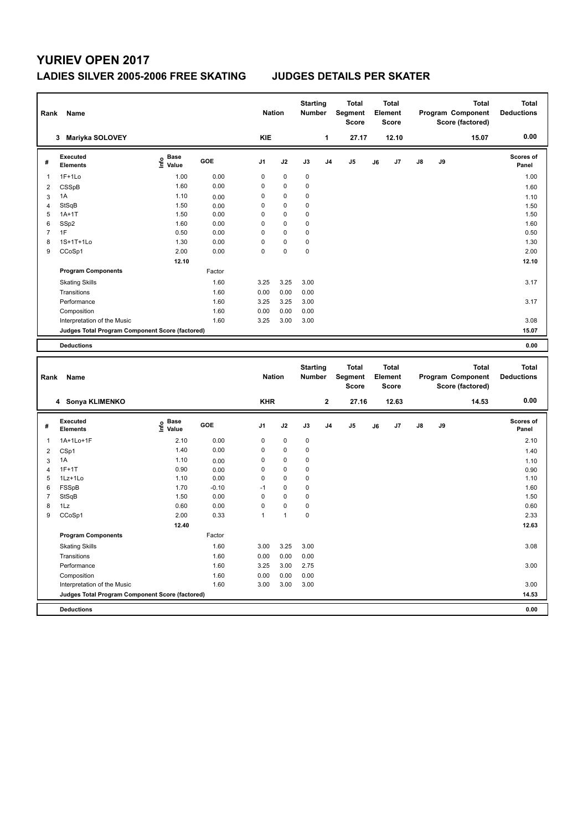### **LADIES SILVER 2005-2006 FREE SKATING JUDGES DETAILS PER SKATER**

| Rank           | Name                                            |                                           |         | <b>Nation</b> |                | <b>Starting</b><br>Number |                | <b>Total</b><br>Segment<br><b>Score</b> |    | Total<br>Element<br>Score |    |    | Total<br>Program Component<br>Score (factored) | <b>Total</b><br><b>Deductions</b> |
|----------------|-------------------------------------------------|-------------------------------------------|---------|---------------|----------------|---------------------------|----------------|-----------------------------------------|----|---------------------------|----|----|------------------------------------------------|-----------------------------------|
|                | 3 Mariyka SOLOVEY                               |                                           |         | <b>KIE</b>    |                |                           | 1              | 27.17                                   |    | 12.10                     |    |    | 15.07                                          | 0.00                              |
| #              | <b>Executed</b><br><b>Elements</b>              | e Base<br>E Value                         | GOE     | J1            | J2             | J3                        | J4             | J5                                      | J6 | J7                        | J8 | J9 |                                                | <b>Scores of</b><br>Panel         |
| 1              | $1F+1Lo$                                        | 1.00                                      | 0.00    | $\pmb{0}$     | $\mathbf 0$    | $\mathbf 0$               |                |                                         |    |                           |    |    |                                                | 1.00                              |
| 2              | CSSpB                                           | 1.60                                      | 0.00    | 0             | 0              | $\pmb{0}$                 |                |                                         |    |                           |    |    |                                                | 1.60                              |
| 3              | 1A                                              | 1.10                                      | 0.00    | 0             | $\pmb{0}$      | $\mathbf 0$               |                |                                         |    |                           |    |    |                                                | 1.10                              |
| $\overline{4}$ | StSqB                                           | 1.50                                      | 0.00    | 0             | $\pmb{0}$      | $\mathbf 0$               |                |                                         |    |                           |    |    |                                                | 1.50                              |
| 5              | $1A+1T$                                         | 1.50                                      | 0.00    | $\mathbf 0$   | 0              | $\mathbf 0$               |                |                                         |    |                           |    |    |                                                | 1.50                              |
| 6              | SSp2                                            | 1.60                                      | 0.00    | $\mathbf 0$   | 0              | $\mathbf 0$               |                |                                         |    |                           |    |    |                                                | 1.60                              |
| $\overline{7}$ | 1F                                              | 0.50                                      | 0.00    | $\mathbf 0$   | 0              | $\mathbf 0$               |                |                                         |    |                           |    |    |                                                | 0.50                              |
| 8              | 1S+1T+1Lo                                       | 1.30                                      | 0.00    | $\mathbf 0$   | 0              | $\mathbf 0$               |                |                                         |    |                           |    |    |                                                | 1.30                              |
| 9              | CCoSp1                                          | 2.00                                      | 0.00    | $\mathbf 0$   | 0              | $\pmb{0}$                 |                |                                         |    |                           |    |    |                                                | 2.00                              |
|                |                                                 | 12.10                                     |         |               |                |                           |                |                                         |    |                           |    |    |                                                | 12.10                             |
|                | <b>Program Components</b>                       |                                           | Factor  |               |                |                           |                |                                         |    |                           |    |    |                                                |                                   |
|                | <b>Skating Skills</b>                           |                                           | 1.60    | 3.25          | 3.25           | 3.00                      |                |                                         |    |                           |    |    |                                                | 3.17                              |
|                | Transitions                                     |                                           | 1.60    | 0.00          | 0.00           | 0.00                      |                |                                         |    |                           |    |    |                                                |                                   |
|                | Performance                                     |                                           | 1.60    | 3.25          | 3.25           | 3.00                      |                |                                         |    |                           |    |    |                                                | 3.17                              |
|                | Composition                                     |                                           | 1.60    | 0.00          | 0.00           | 0.00                      |                |                                         |    |                           |    |    |                                                |                                   |
|                | Interpretation of the Music                     |                                           | 1.60    | 3.25          | 3.00           | 3.00                      |                |                                         |    |                           |    |    |                                                | 3.08                              |
|                | Judges Total Program Component Score (factored) |                                           |         |               |                |                           |                |                                         |    |                           |    |    |                                                | 15.07                             |
|                |                                                 |                                           |         |               |                |                           |                |                                         |    |                           |    |    |                                                |                                   |
|                | <b>Deductions</b>                               |                                           |         |               |                |                           |                |                                         |    |                           |    |    |                                                | 0.00                              |
|                |                                                 |                                           |         |               |                |                           |                |                                         |    |                           |    |    |                                                |                                   |
|                |                                                 |                                           |         |               |                | <b>Starting</b>           |                | <b>Total</b>                            |    | <b>Total</b><br>Element   |    |    | <b>Total</b>                                   | <b>Total</b>                      |
| Rank           | Name                                            |                                           |         | <b>Nation</b> |                | <b>Number</b>             |                | Segment<br><b>Score</b>                 |    | Score                     |    |    | Program Component<br>Score (factored)          | <b>Deductions</b>                 |
|                | 4 Sonya KLIMENKO                                |                                           |         | <b>KHR</b>    |                |                           | $\mathbf{2}$   | 27.16                                   |    | 12.63                     |    |    | 14.53                                          | 0.00                              |
|                |                                                 |                                           |         |               |                |                           |                |                                         |    |                           |    |    |                                                |                                   |
| #              | Executed<br><b>Elements</b>                     | $\frac{e}{E}$ Base<br>$\frac{e}{E}$ Value | GOE     | J1            | J2             | J3                        | J <sub>4</sub> | J <sub>5</sub>                          | J6 | J7                        | J8 | J9 |                                                | <b>Scores of</b><br>Panel         |
| 1              | 1A+1Lo+1F                                       | 2.10                                      | 0.00    | 0             | $\mathbf 0$    | $\mathbf 0$               |                |                                         |    |                           |    |    |                                                | 2.10                              |
| $\overline{2}$ | CSp1                                            | 1.40                                      | 0.00    | 0             | $\pmb{0}$      | $\mathbf 0$               |                |                                         |    |                           |    |    |                                                | 1.40                              |
| 3              | 1A                                              | 1.10                                      | 0.00    | $\mathbf 0$   | $\pmb{0}$      | $\mathbf 0$               |                |                                         |    |                           |    |    |                                                | 1.10                              |
| $\overline{4}$ | $1F+1T$                                         | 0.90                                      | 0.00    | 0             | $\pmb{0}$      | $\mathbf 0$               |                |                                         |    |                           |    |    |                                                | 0.90                              |
| 5              | 1Lz+1Lo                                         | 1.10                                      | 0.00    | $\mathbf 0$   | 0              | $\mathbf 0$               |                |                                         |    |                           |    |    |                                                | 1.10                              |
| 6              | FSSpB                                           | 1.70                                      | $-0.10$ | $-1$          | $\pmb{0}$      | $\mathbf 0$               |                |                                         |    |                           |    |    |                                                | 1.60                              |
| $\overline{7}$ | StSqB                                           | 1.50                                      | 0.00    | $\mathbf 0$   | $\pmb{0}$      | $\mathbf 0$               |                |                                         |    |                           |    |    |                                                | 1.50                              |
| 8              | 1Lz                                             | 0.60                                      | 0.00    | $\mathbf 0$   | $\pmb{0}$      | $\pmb{0}$                 |                |                                         |    |                           |    |    |                                                | 0.60                              |
| 9              | CCoSp1                                          | 2.00                                      | 0.33    | $\mathbf{1}$  | $\overline{1}$ | $\mathbf 0$               |                |                                         |    |                           |    |    |                                                | 2.33                              |
|                |                                                 | 12.40                                     |         |               |                |                           |                |                                         |    |                           |    |    |                                                | 12.63                             |
|                | <b>Program Components</b>                       |                                           | Factor  |               |                |                           |                |                                         |    |                           |    |    |                                                |                                   |
|                | <b>Skating Skills</b>                           |                                           | 1.60    | 3.00          | 3.25           | 3.00                      |                |                                         |    |                           |    |    |                                                | 3.08                              |
|                | Transitions                                     |                                           | 1.60    | 0.00          | 0.00           | 0.00                      |                |                                         |    |                           |    |    |                                                |                                   |
|                | Performance                                     |                                           | 1.60    | 3.25          | 3.00           | 2.75                      |                |                                         |    |                           |    |    |                                                | 3.00                              |
|                | Composition                                     |                                           | 1.60    | 0.00          | 0.00           | 0.00                      |                |                                         |    |                           |    |    |                                                |                                   |
|                | Interpretation of the Music                     |                                           | 1.60    | 3.00          | 3.00           | 3.00                      |                |                                         |    |                           |    |    |                                                | 3.00                              |
|                | Judges Total Program Component Score (factored) |                                           |         |               |                |                           |                |                                         |    |                           |    |    |                                                | 14.53                             |
|                | <b>Deductions</b>                               |                                           |         |               |                |                           |                |                                         |    |                           |    |    |                                                | 0.00                              |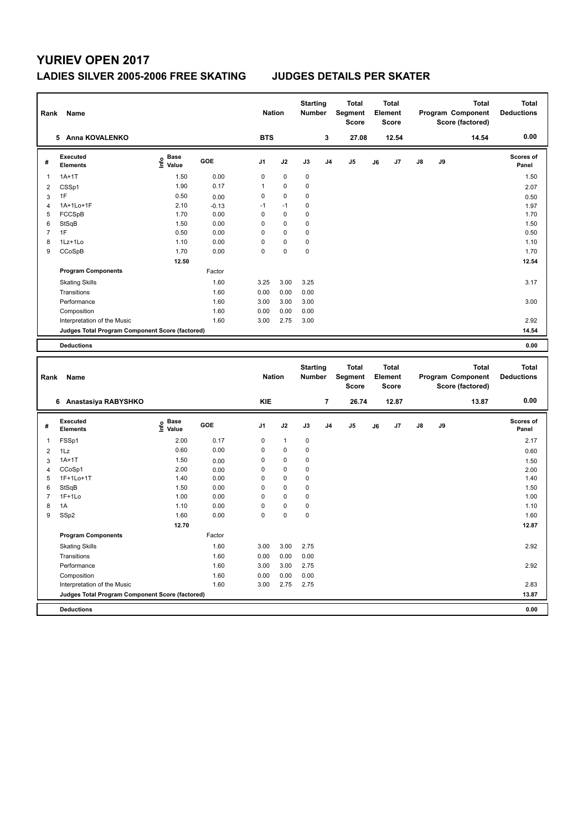**Program Components** 

### **LADIES SILVER 2005-2006 FREE SKATING JUDGES DETAILS PER SKATER**

| Rank           | Name                                            |                   |         | <b>Nation</b>  |              | <b>Starting</b><br>Number |                | <b>Total</b><br>Segment<br><b>Score</b> |    | <b>Total</b><br>Element<br>Score |    |    | <b>Total</b><br>Program Component<br>Score (factored) | <b>Total</b><br><b>Deductions</b> |
|----------------|-------------------------------------------------|-------------------|---------|----------------|--------------|---------------------------|----------------|-----------------------------------------|----|----------------------------------|----|----|-------------------------------------------------------|-----------------------------------|
|                | 5 Anna KOVALENKO                                |                   |         | <b>BTS</b>     |              |                           | 3              | 27.08                                   |    | 12.54                            |    |    | 14.54                                                 | 0.00                              |
| #              | Executed<br><b>Elements</b>                     | e Base<br>E Value | GOE     | J1             | J2           | J3                        | J <sub>4</sub> | J <sub>5</sub>                          | J6 | J7                               | J8 | J9 |                                                       | Scores of<br>Panel                |
| $\overline{1}$ | $1A+1T$                                         | 1.50              | 0.00    | $\mathbf 0$    | 0            | 0                         |                |                                         |    |                                  |    |    |                                                       | 1.50                              |
| 2              | CSSp1                                           | 1.90              | 0.17    | $\mathbf{1}$   | 0            | 0                         |                |                                         |    |                                  |    |    |                                                       | 2.07                              |
| 3              | 1F                                              | 0.50              | 0.00    | $\mathbf 0$    | $\mathbf 0$  | 0                         |                |                                         |    |                                  |    |    |                                                       | 0.50                              |
| $\overline{4}$ | 1A+1Lo+1F                                       | 2.10              | $-0.13$ | $-1$           | $-1$         | 0                         |                |                                         |    |                                  |    |    |                                                       | 1.97                              |
| 5              | FCCSpB                                          | 1.70              | 0.00    | 0              | 0            | 0                         |                |                                         |    |                                  |    |    |                                                       | 1.70                              |
| 6              | StSqB                                           | 1.50              | 0.00    | $\mathbf 0$    | $\mathbf 0$  | 0                         |                |                                         |    |                                  |    |    |                                                       | 1.50                              |
| $\overline{7}$ | 1F                                              | 0.50              | 0.00    | $\mathbf 0$    | $\mathbf 0$  | 0                         |                |                                         |    |                                  |    |    |                                                       | 0.50                              |
| 8              | 1Lz+1Lo                                         | 1.10              | 0.00    | $\mathbf 0$    | $\mathbf 0$  | 0                         |                |                                         |    |                                  |    |    |                                                       | 1.10                              |
| 9              | CCoSpB                                          | 1.70              | 0.00    | $\mathbf 0$    | $\mathbf 0$  | 0                         |                |                                         |    |                                  |    |    |                                                       | 1.70                              |
|                |                                                 | 12.50             |         |                |              |                           |                |                                         |    |                                  |    |    |                                                       | 12.54                             |
|                | <b>Program Components</b>                       |                   | Factor  |                |              |                           |                |                                         |    |                                  |    |    |                                                       |                                   |
|                | <b>Skating Skills</b>                           |                   | 1.60    | 3.25           | 3.00         | 3.25                      |                |                                         |    |                                  |    |    |                                                       | 3.17                              |
|                | Transitions                                     |                   | 1.60    | 0.00           | 0.00         | 0.00                      |                |                                         |    |                                  |    |    |                                                       |                                   |
|                | Performance                                     |                   | 1.60    | 3.00           | 3.00         | 3.00                      |                |                                         |    |                                  |    |    |                                                       | 3.00                              |
|                | Composition                                     |                   | 1.60    | 0.00           | 0.00         | 0.00                      |                |                                         |    |                                  |    |    |                                                       |                                   |
|                | Interpretation of the Music                     |                   | 1.60    | 3.00           | 2.75         | 3.00                      |                |                                         |    |                                  |    |    |                                                       | 2.92                              |
|                | Judges Total Program Component Score (factored) |                   |         |                |              |                           |                |                                         |    |                                  |    |    |                                                       | 14.54                             |
|                | <b>Deductions</b>                               |                   |         |                |              |                           |                |                                         |    |                                  |    |    |                                                       | 0.00                              |
|                |                                                 |                   |         |                |              |                           |                |                                         |    |                                  |    |    |                                                       |                                   |
|                |                                                 |                   |         |                |              | <b>Starting</b>           |                | <b>Total</b>                            |    | <b>Total</b>                     |    |    | <b>Total</b>                                          | <b>Total</b>                      |
| Rank           | Name                                            |                   |         | <b>Nation</b>  |              | <b>Number</b>             |                | <b>Segment</b><br><b>Score</b>          |    | Element<br><b>Score</b>          |    |    | Program Component<br>Score (factored)                 | <b>Deductions</b>                 |
|                | 6 Anastasiya RABYSHKO                           |                   |         | <b>KIE</b>     |              |                           | $\overline{7}$ | 26.74                                   |    | 12.87                            |    |    | 13.87                                                 | 0.00                              |
| #              | Executed<br><b>Elements</b>                     | e Base<br>⊆ Value | GOE     | J <sub>1</sub> | J2           | J3                        | J <sub>4</sub> | J <sub>5</sub>                          | J6 | J7                               | J8 | J9 |                                                       | Scores of<br>Panel                |
| 1              | FSSp1                                           | 2.00              | 0.17    | $\mathbf 0$    | $\mathbf{1}$ | 0                         |                |                                         |    |                                  |    |    |                                                       | 2.17                              |
| $\overline{2}$ | $1\mathsf{L}z$                                  | 0.60              | 0.00    | $\mathbf 0$    | 0            | 0                         |                |                                         |    |                                  |    |    |                                                       | 0.60                              |
| 3              | $1A+1T$                                         | 1.50              | 0.00    | $\mathbf 0$    | $\mathbf 0$  | 0                         |                |                                         |    |                                  |    |    |                                                       | 1.50                              |
| $\overline{4}$ | CCoSp1                                          | 2.00              | 0.00    | 0              | 0            | 0                         |                |                                         |    |                                  |    |    |                                                       | 2.00                              |
| 5              | 1F+1Lo+1T                                       | 1.40              | 0.00    | $\mathbf 0$    | 0            | 0                         |                |                                         |    |                                  |    |    |                                                       | 1.40                              |
| 6              | StSqB                                           | 1.50              | 0.00    | $\mathbf 0$    | $\mathbf 0$  | 0                         |                |                                         |    |                                  |    |    |                                                       | 1.50                              |
| $\overline{7}$ | $1F+1Lo$                                        | 1.00              | 0.00    | $\Omega$       | $\Omega$     | 0                         |                |                                         |    |                                  |    |    |                                                       | 1.00                              |

8 1A 1.10 0.00 0 0 0 1.10 9 SSp2 1.60 0.00 0 0 0 0 0 1.60 1.60

Factor

Transitions 1.60 0.00 0.00 0.00

Composition 1.60 0.00 0.00 0.00

Skating Skills 3.00 3.00 2.75 1.60 2.92

Performance 2.92 2.92 2.92 1.60 3.00 3.00 2.75

Interpretation of the Music 2.83 2.83 2.93 2.75 2.75 2.75 2.75 2.83 2.83 2.83 2.83

**Deductions 0.00 Judges Total Program Component Score (factored) 13.87**

 **12.70 12.87**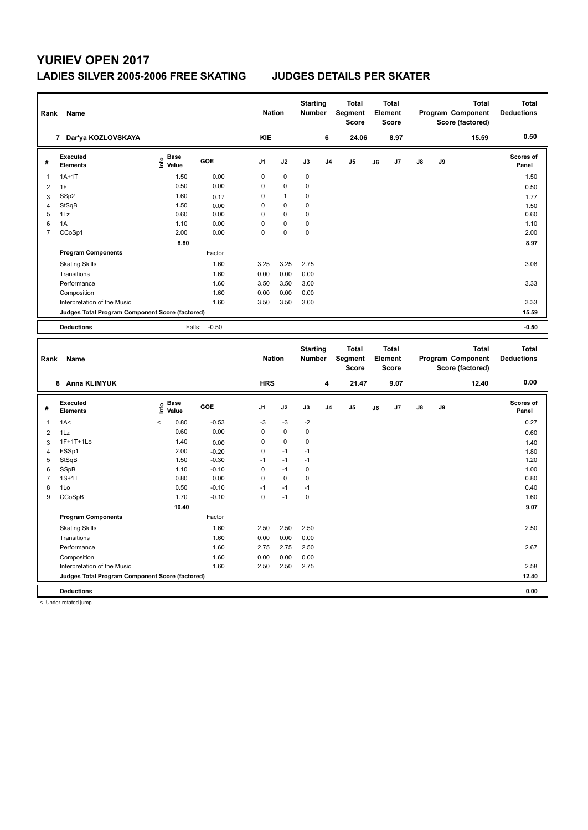### **LADIES SILVER 2005-2006 FREE SKATING JUDGES DETAILS PER SKATER**

| Rank           | Name                                            |                              |              | <b>Nation</b>  |              | <b>Starting</b><br><b>Number</b> |                | <b>Total</b><br>Segment<br><b>Score</b> |    | <b>Total</b><br>Element<br>Score        |    |    | <b>Total</b><br>Program Component<br>Score (factored) | <b>Total</b><br><b>Deductions</b> |
|----------------|-------------------------------------------------|------------------------------|--------------|----------------|--------------|----------------------------------|----------------|-----------------------------------------|----|-----------------------------------------|----|----|-------------------------------------------------------|-----------------------------------|
|                | 7 Dar'ya KOZLOVSKAYA                            |                              |              | <b>KIE</b>     |              |                                  | 6              | 24.06                                   |    | 8.97                                    |    |    | 15.59                                                 | 0.50                              |
| #              | <b>Executed</b><br><b>Elements</b>              | <b>Base</b><br>١nf٥<br>Value | GOE          | J <sub>1</sub> | J2           | J3                               | J <sub>4</sub> | J <sub>5</sub>                          | J6 | J7                                      | J8 | J9 |                                                       | <b>Scores of</b><br>Panel         |
| 1              | $1A+1T$                                         | 1.50                         | 0.00         | 0              | $\mathbf 0$  | $\mathbf 0$                      |                |                                         |    |                                         |    |    |                                                       | 1.50                              |
| $\overline{2}$ | 1F                                              | 0.50                         | 0.00         | $\Omega$       | $\mathbf 0$  | 0                                |                |                                         |    |                                         |    |    |                                                       | 0.50                              |
| 3              | SSp2                                            | 1.60                         | 0.17         | 0              | $\mathbf{1}$ | 0                                |                |                                         |    |                                         |    |    |                                                       | 1.77                              |
| $\overline{4}$ | StSqB                                           | 1.50                         | 0.00         | 0              | $\mathbf 0$  | $\mathbf 0$                      |                |                                         |    |                                         |    |    |                                                       | 1.50                              |
| 5              | 1Lz                                             | 0.60                         | 0.00         | 0              | $\mathbf 0$  | $\mathbf 0$                      |                |                                         |    |                                         |    |    |                                                       | 0.60                              |
| 6              | 1A                                              | 1.10                         | 0.00         | $\Omega$       | $\mathbf 0$  | 0                                |                |                                         |    |                                         |    |    |                                                       | 1.10                              |
| $\overline{7}$ | CCoSp1                                          | 2.00                         | 0.00         | $\Omega$       | $\Omega$     | $\mathbf 0$                      |                |                                         |    |                                         |    |    |                                                       | 2.00                              |
|                |                                                 | 8.80                         |              |                |              |                                  |                |                                         |    |                                         |    |    |                                                       | 8.97                              |
|                | <b>Program Components</b>                       |                              | Factor       |                |              |                                  |                |                                         |    |                                         |    |    |                                                       |                                   |
|                | <b>Skating Skills</b>                           |                              | 1.60         | 3.25           | 3.25         | 2.75                             |                |                                         |    |                                         |    |    |                                                       | 3.08                              |
|                | Transitions                                     |                              | 1.60         | 0.00           | 0.00         | 0.00                             |                |                                         |    |                                         |    |    |                                                       |                                   |
|                | Performance                                     |                              | 1.60         | 3.50           | 3.50         | 3.00                             |                |                                         |    |                                         |    |    |                                                       | 3.33                              |
|                | Composition                                     |                              | 1.60         | 0.00           | 0.00         | 0.00                             |                |                                         |    |                                         |    |    |                                                       |                                   |
|                | Interpretation of the Music                     |                              | 1.60         | 3.50           | 3.50         | 3.00                             |                |                                         |    |                                         |    |    |                                                       | 3.33                              |
|                | Judges Total Program Component Score (factored) |                              |              |                |              |                                  |                |                                         |    |                                         |    |    |                                                       | 15.59                             |
|                |                                                 |                              |              |                |              |                                  |                |                                         |    |                                         |    |    |                                                       |                                   |
|                | <b>Deductions</b>                               |                              | Falls: -0.50 |                |              |                                  |                |                                         |    |                                         |    |    |                                                       | $-0.50$                           |
| Rank           | Name                                            |                              |              | <b>Nation</b>  |              | <b>Starting</b><br><b>Number</b> |                | Total<br>Segment<br><b>Score</b>        |    | <b>Total</b><br>Element<br><b>Score</b> |    |    | <b>Total</b><br>Program Component<br>Score (factored) | <b>Total</b><br><b>Deductions</b> |
|                | 8 Anna KLIMYUK                                  |                              |              | <b>HRS</b>     |              |                                  | 4              | 21.47                                   |    | 9.07                                    |    |    | 12.40                                                 | 0.00                              |
| #              | <b>Executed</b><br><b>Elements</b>              | <b>Base</b><br>۴ů<br>Value   | <b>GOE</b>   | J <sub>1</sub> | J2           | J3                               | J4             | J <sub>5</sub>                          | J6 | J7                                      | J8 | J9 |                                                       | <b>Scores of</b><br>Panel         |
| 1              | 1A<                                             | 0.80<br>$\,<\,$              | $-0.53$      | $-3$           | $-3$         | $-2$                             |                |                                         |    |                                         |    |    |                                                       | 0.27                              |
|                |                                                 |                              |              |                |              |                                  |                |                                         |    |                                         |    |    |                                                       |                                   |

| Ŧ | Elements                                        | ٤<br>Value                       |         | . .  |      |             |  | υu | <br> | <br>Panel |
|---|-------------------------------------------------|----------------------------------|---------|------|------|-------------|--|----|------|-----------|
|   | 1A<                                             | 0.80<br>$\overline{\phantom{a}}$ | $-0.53$ | $-3$ | $-3$ | $-2$        |  |    |      | 0.27      |
| 2 | 1Lz                                             | 0.60                             | 0.00    | 0    | 0    | $\mathbf 0$ |  |    |      | 0.60      |
| 3 | 1F+1T+1Lo                                       | 1.40                             | 0.00    | 0    | 0    | 0           |  |    |      | 1.40      |
| 4 | FSSp1                                           | 2.00                             | $-0.20$ | 0    | $-1$ | $-1$        |  |    |      | 1.80      |
| 5 | StSqB                                           | 1.50                             | $-0.30$ | $-1$ | $-1$ | $-1$        |  |    |      | 1.20      |
| 6 | SSpB                                            | 1.10                             | $-0.10$ | 0    | $-1$ | 0           |  |    |      | 1.00      |
|   | $1S+1T$                                         | 0.80                             | 0.00    | 0    | 0    | 0           |  |    |      | 0.80      |
| 8 | 1Lo                                             | 0.50                             | $-0.10$ | $-1$ | $-1$ | $-1$        |  |    |      | 0.40      |
| 9 | CCoSpB                                          | 1.70                             | $-0.10$ | 0    | $-1$ | $\mathbf 0$ |  |    |      | 1.60      |
|   |                                                 | 10.40                            |         |      |      |             |  |    |      | 9.07      |
|   | <b>Program Components</b>                       |                                  | Factor  |      |      |             |  |    |      |           |
|   | <b>Skating Skills</b>                           |                                  | 1.60    | 2.50 | 2.50 | 2.50        |  |    |      | 2.50      |
|   | Transitions                                     |                                  | 1.60    | 0.00 | 0.00 | 0.00        |  |    |      |           |
|   | Performance                                     |                                  | 1.60    | 2.75 | 2.75 | 2.50        |  |    |      | 2.67      |
|   | Composition                                     |                                  | 1.60    | 0.00 | 0.00 | 0.00        |  |    |      |           |
|   | Interpretation of the Music                     |                                  | 1.60    | 2.50 | 2.50 | 2.75        |  |    |      | 2.58      |
|   | Judges Total Program Component Score (factored) |                                  |         |      |      |             |  |    |      | 12.40     |
|   | <b>Deductions</b>                               |                                  |         |      |      |             |  |    |      | 0.00      |

< Under-rotated jump